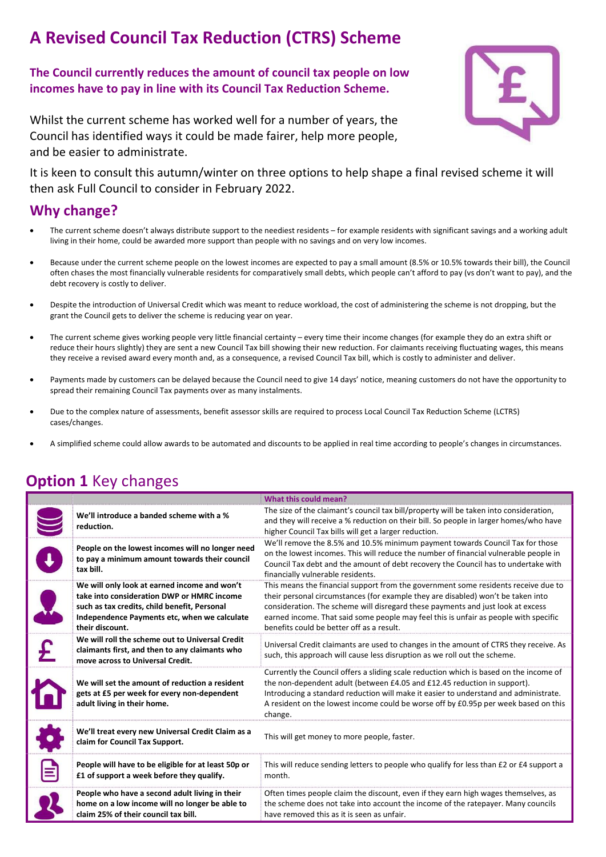# A Revised Council Tax Reduction (CTRS) Scheme

The Council currently reduces the amount of council tax people on low incomes have to pay in line with its Council Tax Reduction Scheme.

Whilst the current scheme has worked well for a number of years, the Council has identified ways it could be made fairer, help more people, and be easier to administrate.



It is keen to consult this autumn/winter on three options to help shape a final revised scheme it will then ask Full Council to consider in February 2022.

#### Why change?

- The current scheme doesn't always distribute support to the neediest residents for example residents with significant savings and a working adult living in their home, could be awarded more support than people with no savings and on very low incomes.
- Because under the current scheme people on the lowest incomes are expected to pay a small amount (8.5% or 10.5% towards their bill), the Council often chases the most financially vulnerable residents for comparatively small debts, which people can't afford to pay (vs don't want to pay), and the debt recovery is costly to deliver.
- Despite the introduction of Universal Credit which was meant to reduce workload, the cost of administering the scheme is not dropping, but the grant the Council gets to deliver the scheme is reducing year on year.
- The current scheme gives working people very little financial certainty every time their income changes (for example they do an extra shift or reduce their hours slightly) they are sent a new Council Tax bill showing their new reduction. For claimants receiving fluctuating wages, this means they receive a revised award every month and, as a consequence, a revised Council Tax bill, which is costly to administer and deliver.
- Payments made by customers can be delayed because the Council need to give 14 days' notice, meaning customers do not have the opportunity to spread their remaining Council Tax payments over as many instalments.
- Due to the complex nature of assessments, benefit assessor skills are required to process Local Council Tax Reduction Scheme (LCTRS) cases/changes.
- A simplified scheme could allow awards to be automated and discounts to be applied in real time according to people's changes in circumstances.

#### What this could mean? We'll introduce a banded scheme with a % reduction. The size of the claimant's council tax bill/property will be taken into consideration, and they will receive a % reduction on their bill. So people in larger homes/who have higher Council Tax bills will get a larger reduction. People on the lowest incomes will no longer need to pay a minimum amount towards their council tax bill. We'll remove the 8.5% and 10.5% minimum payment towards Council Tax for those on the lowest incomes. This will reduce the number of financial vulnerable people in Council Tax debt and the amount of debt recovery the Council has to undertake with financially vulnerable residents. We will only look at earned income and won't take into consideration DWP or HMRC income such as tax credits, child benefit, Personal Independence Payments etc, when we calculate their discount. This means the financial support from the government some residents receive due to their personal circumstances (for example they are disabled) won't be taken into consideration. The scheme will disregard these payments and just look at excess earned income. That said some people may feel this is unfair as people with specific benefits could be better off as a result. We will roll the scheme out to Universal Credit Universal Credit claimants are used to changes in the amount of CTRS they receive. As

#### **Option 1 Key changes**

| claimants first, and then to any claimants who                                                                               | 0111101301 Creart Claimants are ased to changes in the amount or Critis they receive. As                                                                                                                                                                                                                                                                     |
|------------------------------------------------------------------------------------------------------------------------------|--------------------------------------------------------------------------------------------------------------------------------------------------------------------------------------------------------------------------------------------------------------------------------------------------------------------------------------------------------------|
| move across to Universal Credit.                                                                                             | such, this approach will cause less disruption as we roll out the scheme.                                                                                                                                                                                                                                                                                    |
| We will set the amount of reduction a resident<br>gets at £5 per week for every non-dependent<br>adult living in their home. | Currently the Council offers a sliding scale reduction which is based on the income of<br>the non-dependent adult (between £4.05 and £12.45 reduction in support).<br>Introducing a standard reduction will make it easier to understand and administrate.<br>A resident on the lowest income could be worse off by £0.95p per week based on this<br>change. |
| We'll treat every new Universal Credit Claim as a<br>claim for Council Tax Support.                                          | This will get money to more people, faster.                                                                                                                                                                                                                                                                                                                  |
| People will have to be eligible for at least 50p or                                                                          | This will reduce sending letters to people who qualify for less than £2 or £4 support a                                                                                                                                                                                                                                                                      |
| £1 of support a week before they qualify.                                                                                    | month.                                                                                                                                                                                                                                                                                                                                                       |
| People who have a second adult living in their                                                                               | Often times people claim the discount, even if they earn high wages themselves, as                                                                                                                                                                                                                                                                           |
| home on a low income will no longer be able to                                                                               | the scheme does not take into account the income of the ratepayer. Many councils                                                                                                                                                                                                                                                                             |
| claim 25% of their council tax bill.                                                                                         | have removed this as it is seen as unfair.                                                                                                                                                                                                                                                                                                                   |
|                                                                                                                              |                                                                                                                                                                                                                                                                                                                                                              |